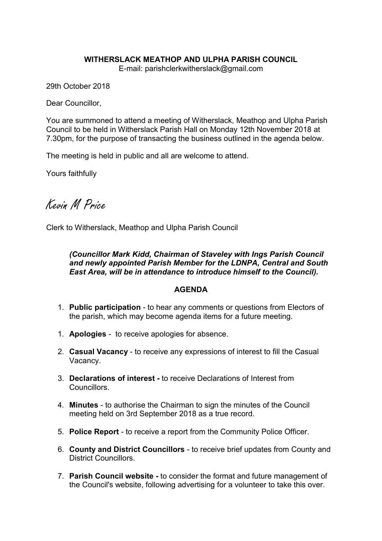## WITHERSLACK MEATHOP AND ULPHA PARISH COUNCIL

E-mail: parishclerkwitherslack@gmail.com

29th October 2018

Dear Councillor,

You are summoned to attend a meeting of Witherslack, Meathop and Ulpha Parish Council to be held in Witherslack Parish Hall on Monday 12th November 2018 at 7.30pm, for the purpose of transacting the business outlined in the agenda below.

The meeting is held in public and all are welcome to attend.

Yours faithfully

Kevin M Price

Clerk to Witherslack, Meathop and Ulpha Parish Council

*(Councillor Mark Kidd, Chairman of Staveley with Ings Parish Council and newly appointed Parish Member for the LDNPA, Central and South East Area, will be in attendance to introduce himself to the Council).*

## AGENDA

- 1. Public participation to hear any comments or questions from Electors of the parish, which may become agenda items for a future meeting.
- 1. Apologies to receive apologies for absence.
- 2. Casual Vacancy to receive any expressions of interest to fill the Casual Vacancy.
- 3. Declarations of interest to receive Declarations of Interest from Councillors.
- 4. Minutes to authorise the Chairman to sign the minutes of the Council meeting held on 3rd September 2018 as a true record.
- 5. Police Report to receive a report from the Community Police Officer.
- 6. County and District Councillors to receive brief updates from County and District Councillors.
- 7. Parish Council website to consider the format and future management of the Council's website, following advertising for a volunteer to take this over.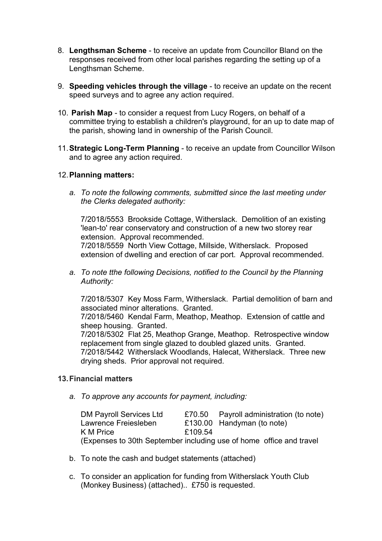- 8. Lengthsman Scheme to receive an update from Councillor Bland on the responses received from other local parishes regarding the setting up of a Lengthsman Scheme.
- 9. Speeding vehicles through the village to receive an update on the recent speed surveys and to agree any action required.
- 10. Parish Map to consider a request from Lucy Rogers, on behalf of a committee trying to establish a children's playground, for an up to date map of the parish, showing land in ownership of the Parish Council.
- 11.Strategic Long-Term Planning to receive an update from Councillor Wilson and to agree any action required.

## 12.Planning matters:

*a. To note the following comments, submitted since the last meeting under the Clerks delegated authority:*

7/2018/5553 Brookside Cottage, Witherslack. Demolition of an existing 'lean-to' rear conservatory and construction of a new two storey rear extension. Approval recommended. 7/2018/5559 North View Cottage, Millside, Witherslack. Proposed extension of dwelling and erection of car port. Approval recommended.

*a. To note tthe following Decisions, notified to the Council by the Planning Authority:*

7/2018/5307 Key Moss Farm, Witherslack. Partial demolition of barn and associated minor alterations. Granted.

7/2018/5460 Kendal Farm, Meathop, Meathop. Extension of cattle and sheep housing. Granted.

7/2018/5302 Flat 25, Meathop Grange, Meathop. Retrospective window replacement from single glazed to doubled glazed units. Granted. 7/2018/5442 Witherslack Woodlands, Halecat, Witherslack. Three new drying sheds. Prior approval not required.

## 13.Financial matters

*a. To approve any accounts for payment, including:*

| <b>DM Payroll Services Ltd</b>                                      |         | £70.50 Payroll administration (to note) |
|---------------------------------------------------------------------|---------|-----------------------------------------|
| Lawrence Freiesleben                                                |         | £130.00 Handyman (to note)              |
| K M Price                                                           | £109.54 |                                         |
| (Expenses to 30th September including use of home office and travel |         |                                         |

- b. To note the cash and budget statements (attached)
- c. To consider an application for funding from Witherslack Youth Club (Monkey Business) (attached).. £750 is requested.